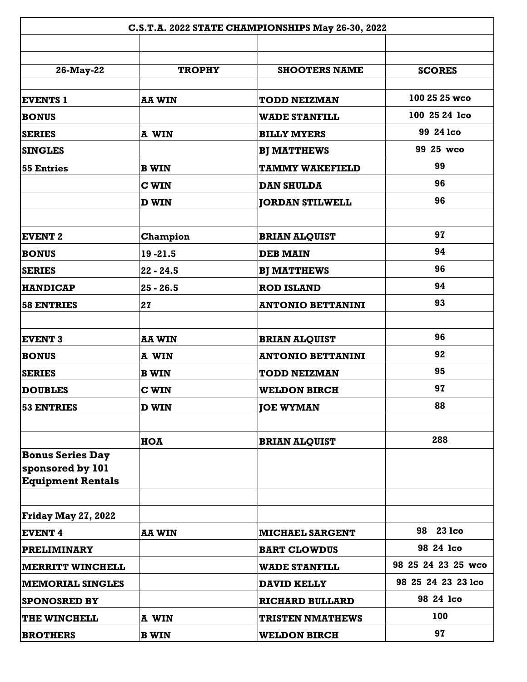| C.S.T.A. 2022 STATE CHAMPIONSHIPS May 26-30, 2022                       |               |                          |                    |
|-------------------------------------------------------------------------|---------------|--------------------------|--------------------|
|                                                                         |               |                          |                    |
| 26-May-22                                                               | <b>TROPHY</b> | <b>SHOOTERS NAME</b>     | <b>SCORES</b>      |
| <b>EVENTS 1</b>                                                         | <b>AA WIN</b> | <b>TODD NEIZMAN</b>      | 100 25 25 wco      |
| <b>BONUS</b>                                                            |               | <b>WADE STANFILL</b>     | 100 25 24 lco      |
| <b>SERIES</b>                                                           | A WIN         | <b>BILLY MYERS</b>       | 99 24 lco          |
| <b>SINGLES</b>                                                          |               | <b>BJ MATTHEWS</b>       | 99 25 wco          |
| <b>55 Entries</b>                                                       | <b>B WIN</b>  | <b>TAMMY WAKEFIELD</b>   | 99                 |
|                                                                         | <b>C WIN</b>  | <b>DAN SHULDA</b>        | 96                 |
|                                                                         | <b>D WIN</b>  | <b>JORDAN STILWELL</b>   | 96                 |
|                                                                         |               |                          | 97                 |
| <b>EVENT 2</b>                                                          | Champion      | <b>BRIAN ALQUIST</b>     | 94                 |
| <b>BONUS</b>                                                            | 19 - 21.5     | <b>DEB MAIN</b>          | 96                 |
| <b>SERIES</b>                                                           | $22 - 24.5$   | <b>BJ MATTHEWS</b>       | 94                 |
| <b>HANDICAP</b>                                                         | $25 - 26.5$   | <b>ROD ISLAND</b>        | 93                 |
| <b>58 ENTRIES</b>                                                       | 27            | <b>ANTONIO BETTANINI</b> |                    |
| <b>EVENT 3</b>                                                          | <b>AA WIN</b> | <b>BRIAN ALQUIST</b>     | 96                 |
| <b>BONUS</b>                                                            | A WIN         | <b>ANTONIO BETTANINI</b> | 92                 |
| <b>SERIES</b>                                                           | <b>B WIN</b>  | <b>TODD NEIZMAN</b>      | 95                 |
| <b>DOUBLES</b>                                                          | <b>C WIN</b>  | <b>WELDON BIRCH</b>      | 97                 |
| <b>53 ENTRIES</b>                                                       | <b>D WIN</b>  | <b>JOE WYMAN</b>         | 88                 |
|                                                                         |               |                          |                    |
|                                                                         | HOA           | <b>BRIAN ALQUIST</b>     | 288                |
| <b>Bonus Series Day</b><br>sponsored by 101<br><b>Equipment Rentals</b> |               |                          |                    |
|                                                                         |               |                          |                    |
| <b>Friday May 27, 2022</b>                                              |               |                          |                    |
| <b>EVENT 4</b>                                                          | <b>AA WIN</b> | <b>MICHAEL SARGENT</b>   | 98 23 lco          |
| <b>PRELIMINARY</b>                                                      |               | <b>BART CLOWDUS</b>      | 98 24 lco          |
| <b>MERRITT WINCHELL</b>                                                 |               | <b>WADE STANFILL</b>     | 98 25 24 23 25 wco |
| <b>MEMORIAL SINGLES</b>                                                 |               | <b>DAVID KELLY</b>       | 98 25 24 23 23 lco |
| <b>SPONOSRED BY</b>                                                     |               | <b>RICHARD BULLARD</b>   | 98 24 lco          |
| THE WINCHELL                                                            | A WIN         | <b>TRISTEN NMATHEWS</b>  | 100                |
| <b>BROTHERS</b>                                                         | <b>B WIN</b>  | <b>WELDON BIRCH</b>      | 97                 |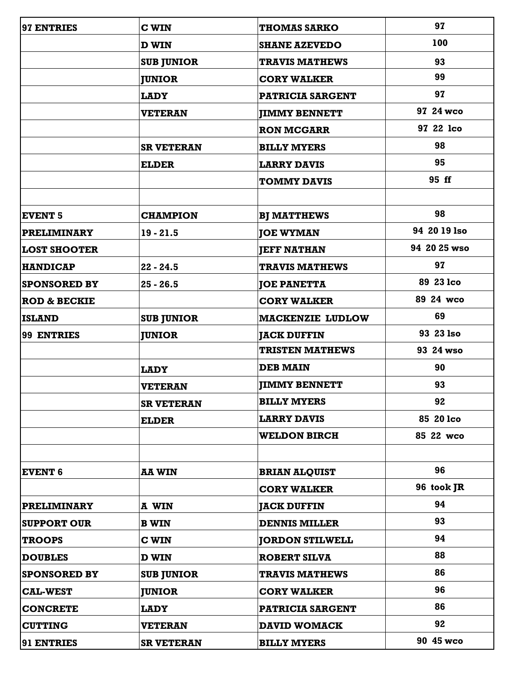| 97 ENTRIES              | <b>C WIN</b>      | <b>THOMAS SARKO</b>     | 97           |
|-------------------------|-------------------|-------------------------|--------------|
|                         | <b>D WIN</b>      | <b>SHANE AZEVEDO</b>    | 100          |
|                         | <b>SUB JUNIOR</b> | <b>TRAVIS MATHEWS</b>   | 93           |
|                         | <b>JUNIOR</b>     | <b>CORY WALKER</b>      | 99           |
|                         | <b>LADY</b>       | <b>PATRICIA SARGENT</b> | 97           |
|                         | <b>VETERAN</b>    | <b>JIMMY BENNETT</b>    | 97 24 wco    |
|                         |                   | <b>RON MCGARR</b>       | 97 22 lco    |
|                         | <b>SR VETERAN</b> | <b>BILLY MYERS</b>      | 98           |
|                         | <b>ELDER</b>      | <b>LARRY DAVIS</b>      | 95           |
|                         |                   | <b>TOMMY DAVIS</b>      | 95 ff        |
|                         |                   |                         |              |
| <b>EVENT 5</b>          | <b>CHAMPION</b>   | <b>BJ MATTHEWS</b>      | 98           |
| <b>PRELIMINARY</b>      | $19 - 21.5$       | <b>JOE WYMAN</b>        | 94 20 19 Iso |
| <b>LOST SHOOTER</b>     |                   | <b>JEFF NATHAN</b>      | 94 20 25 wso |
| <b>HANDICAP</b>         | $22 - 24.5$       | <b>TRAVIS MATHEWS</b>   | 97           |
| <b>SPONSORED BY</b>     | $25 - 26.5$       | <b>JOE PANETTA</b>      | 89 23 lco    |
| <b>ROD &amp; BECKIE</b> |                   | <b>CORY WALKER</b>      | 89 24 wco    |
| <b>ISLAND</b>           | <b>SUB JUNIOR</b> | <b>MACKENZIE LUDLOW</b> | 69           |
| 99 ENTRIES              | <b>JUNIOR</b>     | <b>JACK DUFFIN</b>      | 93 23 Iso    |
|                         |                   | <b>TRISTEN MATHEWS</b>  | 93 24 wso    |
|                         | <b>LADY</b>       | <b>DEB MAIN</b>         | 90           |
|                         | <b>VETERAN</b>    | <b>JIMMY BENNETT</b>    | 93           |
|                         | <b>SR VETERAN</b> | <b>BILLY MYERS</b>      | 92           |
|                         | <b>ELDER</b>      | <b>LARRY DAVIS</b>      | 85 20 lco    |
|                         |                   | <b>WELDON BIRCH</b>     | 85 22 wco    |
|                         |                   |                         |              |
| <b>EVENT 6</b>          | <b>AA WIN</b>     | <b>BRIAN ALQUIST</b>    | 96           |
|                         |                   | <b>CORY WALKER</b>      | 96 took JR   |
| <b>PRELIMINARY</b>      | A WIN             | <b>JACK DUFFIN</b>      | 94           |
| <b>SUPPORT OUR</b>      | <b>B WIN</b>      | <b>DENNIS MILLER</b>    | 93           |
| <b>TROOPS</b>           | <b>C WIN</b>      | <b>JORDON STILWELL</b>  | 94           |
| <b>DOUBLES</b>          | <b>D WIN</b>      | <b>ROBERT SILVA</b>     | 88           |
| <b>SPONSORED BY</b>     | <b>SUB JUNIOR</b> | <b>TRAVIS MATHEWS</b>   | 86           |
| <b>CAL-WEST</b>         | <b>JUNIOR</b>     | <b>CORY WALKER</b>      | 96           |
| <b>CONCRETE</b>         | <b>LADY</b>       | <b>PATRICIA SARGENT</b> | 86           |
| <b>CUTTING</b>          | <b>VETERAN</b>    | <b>DAVID WOMACK</b>     | 92           |
| 91 ENTRIES              | <b>SR VETERAN</b> | <b>BILLY MYERS</b>      | 90 45 wco    |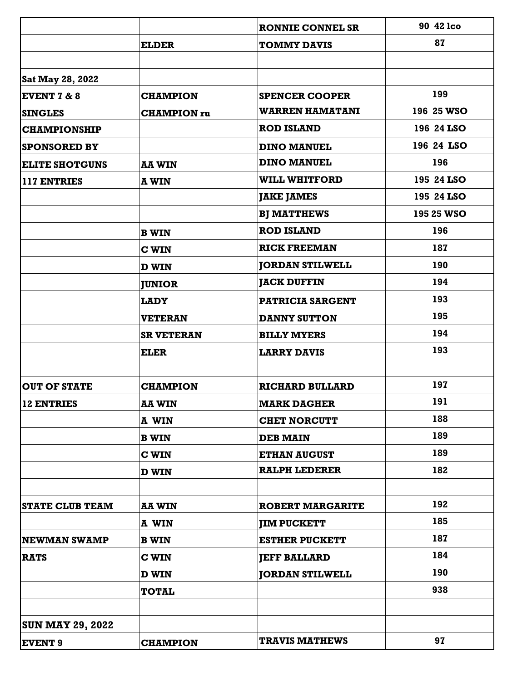|                         |                    | <b>RONNIE CONNEL SR</b> | 90 42 lco  |
|-------------------------|--------------------|-------------------------|------------|
|                         | <b>ELDER</b>       | <b>TOMMY DAVIS</b>      | 87         |
|                         |                    |                         |            |
| Sat May 28, 2022        |                    |                         |            |
| <b>EVENT 7 &amp; 8</b>  | <b>CHAMPION</b>    | <b>SPENCER COOPER</b>   | 199        |
| <b>SINGLES</b>          | <b>CHAMPION</b> ru | <b>WARREN HAMATANI</b>  | 196 25 WSO |
| <b>CHAMPIONSHIP</b>     |                    | <b>ROD ISLAND</b>       | 196 24 LSO |
| <b>SPONSORED BY</b>     |                    | <b>DINO MANUEL</b>      | 196 24 LSO |
| <b>ELITE SHOTGUNS</b>   | <b>AA WIN</b>      | <b>DINO MANUEL</b>      | 196        |
| 117 ENTRIES             | <b>A WIN</b>       | <b>WILL WHITFORD</b>    | 195 24 LSO |
|                         |                    | <b>JAKE JAMES</b>       | 195 24 LSO |
|                         |                    | <b>BJ MATTHEWS</b>      | 195 25 WSO |
|                         | <b>B WIN</b>       | <b>ROD ISLAND</b>       | 196        |
|                         | <b>C WIN</b>       | <b>RICK FREEMAN</b>     | 187        |
|                         | <b>D WIN</b>       | <b>JORDAN STILWELL</b>  | 190        |
|                         | <b>JUNIOR</b>      | <b>JACK DUFFIN</b>      | 194        |
|                         | <b>LADY</b>        | <b>PATRICIA SARGENT</b> | 193        |
|                         | <b>VETERAN</b>     | <b>DANNY SUTTON</b>     | 195        |
|                         | <b>SR VETERAN</b>  | <b>BILLY MYERS</b>      | 194        |
|                         | <b>ELER</b>        | <b>LARRY DAVIS</b>      | 193        |
|                         |                    |                         |            |
| <b>OUT OF STATE</b>     | <b>CHAMPION</b>    | <b>RICHARD BULLARD</b>  | 197        |
| 12 ENTRIES              | <b>AA WIN</b>      | <b>MARK DAGHER</b>      | 191        |
|                         | A WIN              | <b>CHET NORCUTT</b>     | 188        |
|                         | <b>B WIN</b>       | <b>DEB MAIN</b>         | 189        |
|                         | <b>C WIN</b>       | <b>ETHAN AUGUST</b>     | 189        |
|                         | <b>D WIN</b>       | <b>RALPH LEDERER</b>    | 182        |
|                         |                    |                         |            |
| <b>STATE CLUB TEAM</b>  | <b>AA WIN</b>      | <b>ROBERT MARGARITE</b> | 192        |
|                         | A WIN              | <b>JIM PUCKETT</b>      | 185        |
| <b>NEWMAN SWAMP</b>     | <b>B WIN</b>       | <b>ESTHER PUCKETT</b>   | 187        |
| <b>RATS</b>             | <b>C WIN</b>       | <b>JEFF BALLARD</b>     | 184        |
|                         | <b>D WIN</b>       | <b>JORDAN STILWELL</b>  | 190        |
|                         | <b>TOTAL</b>       |                         | 938        |
|                         |                    |                         |            |
| <b>SUN MAY 29, 2022</b> |                    |                         |            |
| <b>EVENT 9</b>          | <b>CHAMPION</b>    | <b>TRAVIS MATHEWS</b>   | 97         |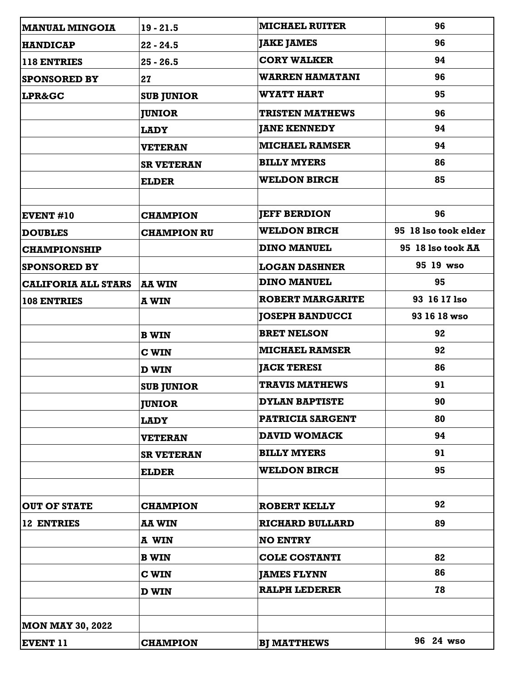| <b>MANUAL MINGOIA</b>      | $19 - 21.5$        | <b>MICHAEL RUITER</b>   | 96                   |
|----------------------------|--------------------|-------------------------|----------------------|
| <b>HANDICAP</b>            | $22 - 24.5$        | <b>JAKE JAMES</b>       | 96                   |
| 118 ENTRIES                | $25 - 26.5$        | <b>CORY WALKER</b>      | 94                   |
| <b>SPONSORED BY</b>        | 27                 | <b>WARREN HAMATANI</b>  | 96                   |
| <b>LPR&amp;GC</b>          | <b>SUB JUNIOR</b>  | <b>WYATT HART</b>       | 95                   |
|                            | <b>JUNIOR</b>      | <b>TRISTEN MATHEWS</b>  | 96                   |
|                            | <b>LADY</b>        | <b>JANE KENNEDY</b>     | 94                   |
|                            | <b>VETERAN</b>     | <b>MICHAEL RAMSER</b>   | 94                   |
|                            | <b>SR VETERAN</b>  | <b>BILLY MYERS</b>      | 86                   |
|                            | <b>ELDER</b>       | <b>WELDON BIRCH</b>     | 85                   |
| <b>EVENT #10</b>           | <b>CHAMPION</b>    | <b>JEFF BERDION</b>     | 96                   |
| <b>DOUBLES</b>             | <b>CHAMPION RU</b> | <b>WELDON BIRCH</b>     | 95 18 Iso took elder |
| <b>CHAMPIONSHIP</b>        |                    | <b>DINO MANUEL</b>      | 95 18 Iso took AA    |
| <b>SPONSORED BY</b>        |                    | <b>LOGAN DASHNER</b>    | 95 19 wso            |
| <b>CALIFORIA ALL STARS</b> | <b>AA WIN</b>      | <b>DINO MANUEL</b>      | 95                   |
| <b>108 ENTRIES</b>         | <b>A WIN</b>       | <b>ROBERT MARGARITE</b> | 93 16 17 Iso         |
|                            |                    | <b>JOSEPH BANDUCCI</b>  | 93 16 18 wso         |
|                            | <b>B WIN</b>       | <b>BRET NELSON</b>      | 92                   |
|                            | <b>C WIN</b>       | <b>MICHAEL RAMSER</b>   | 92                   |
|                            | <b>D WIN</b>       | <b>JACK TERESI</b>      | 86                   |
|                            | <b>SUB JUNIOR</b>  | <b>TRAVIS MATHEWS</b>   | 91                   |
|                            | <b>JUNIOR</b>      | <b>DYLAN BAPTISTE</b>   | 90                   |
|                            | <b>LADY</b>        | <b>PATRICIA SARGENT</b> | 80                   |
|                            | <b>VETERAN</b>     | <b>DAVID WOMACK</b>     | 94                   |
|                            | <b>SR VETERAN</b>  | <b>BILLY MYERS</b>      | 91                   |
|                            | <b>ELDER</b>       | <b>WELDON BIRCH</b>     | 95                   |
| <b>OUT OF STATE</b>        | <b>CHAMPION</b>    | <b>ROBERT KELLY</b>     | 92                   |
| <b>12 ENTRIES</b>          | <b>AA WIN</b>      | <b>RICHARD BULLARD</b>  | 89                   |
|                            | A WIN              | <b>NO ENTRY</b>         |                      |
|                            | <b>B WIN</b>       | <b>COLE COSTANTI</b>    | 82                   |
|                            | <b>C WIN</b>       | <b>JAMES FLYNN</b>      | 86                   |
|                            | <b>D WIN</b>       | <b>RALPH LEDERER</b>    | 78                   |
|                            |                    |                         |                      |
| <b>MON MAY 30, 2022</b>    |                    |                         |                      |
| <b>EVENT 11</b>            | <b>CHAMPION</b>    | <b>BJ MATTHEWS</b>      | 96 24 wso            |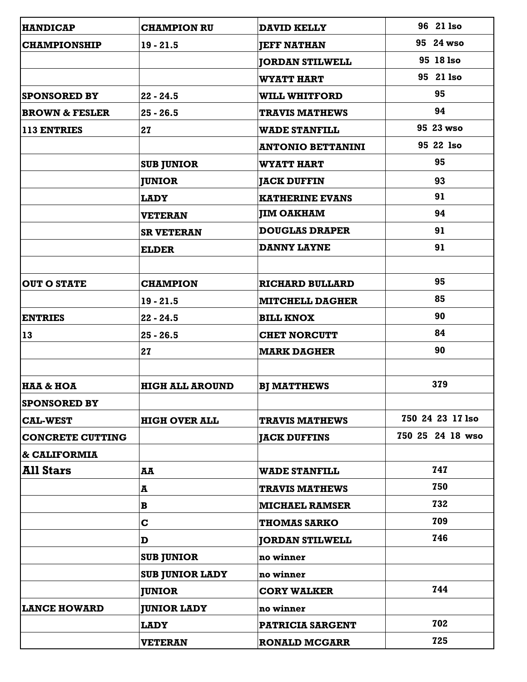| <b>HANDICAP</b>           | <b>CHAMPION RU</b>     | <b>DAVID KELLY</b>       | 96 21 lso        |
|---------------------------|------------------------|--------------------------|------------------|
| <b>CHAMPIONSHIP</b>       | $19 - 21.5$            | <b>JEFF NATHAN</b>       | 95 24 wso        |
|                           |                        | <b>JORDAN STILWELL</b>   | 95 18 Iso        |
|                           |                        | <b>WYATT HART</b>        | 95 21 lso        |
| <b>SPONSORED BY</b>       | $22 - 24.5$            | <b>WILL WHITFORD</b>     | 95               |
| <b>BROWN &amp; FESLER</b> | $25 - 26.5$            | <b>TRAVIS MATHEWS</b>    | 94               |
| <b>113 ENTRIES</b>        | 27                     | <b>WADE STANFILL</b>     | 95 23 wso        |
|                           |                        | <b>ANTONIO BETTANINI</b> | 95 22 1so        |
|                           | <b>SUB JUNIOR</b>      | <b>WYATT HART</b>        | 95               |
|                           | <b>JUNIOR</b>          | <b>JACK DUFFIN</b>       | 93               |
|                           | <b>LADY</b>            | <b>KATHERINE EVANS</b>   | 91               |
|                           | <b>VETERAN</b>         | <b>JIM OAKHAM</b>        | 94               |
|                           | <b>SR VETERAN</b>      | <b>DOUGLAS DRAPER</b>    | 91               |
|                           | <b>ELDER</b>           | <b>DANNY LAYNE</b>       | 91               |
|                           |                        |                          |                  |
| <b>OUT O STATE</b>        | <b>CHAMPION</b>        | <b>RICHARD BULLARD</b>   | 95               |
|                           | $19 - 21.5$            | <b>MITCHELL DAGHER</b>   | 85               |
| <b>ENTRIES</b>            | $22 - 24.5$            | <b>BILL KNOX</b>         | 90               |
| <b>13</b>                 | $25 - 26.5$            | <b>CHET NORCUTT</b>      | 84               |
|                           | 27                     | <b>MARK DAGHER</b>       | 90               |
| <b>HAA &amp; HOA</b>      | <b>HIGH ALL AROUND</b> | <b>BJ MATTHEWS</b>       | 379              |
| <b>SPONSORED BY</b>       |                        |                          |                  |
| <b>CAL-WEST</b>           | <b>HIGH OVER ALL</b>   | <b>TRAVIS MATHEWS</b>    | 750 24 23 17 lso |
| <b>CONCRETE CUTTING</b>   |                        | <b>JACK DUFFINS</b>      | 750 25 24 18 wso |
| & CALIFORMIA              |                        |                          |                  |
| <b>All Stars</b>          | AA                     | <b>WADE STANFILL</b>     | 747              |
|                           | A                      | <b>TRAVIS MATHEWS</b>    | 750              |
|                           | B                      | <b>MICHAEL RAMSER</b>    | 732              |
|                           | $\mathbf C$            | <b>THOMAS SARKO</b>      | 709              |
|                           | D                      | <b>JORDAN STILWELL</b>   | 746              |
|                           | <b>SUB JUNIOR</b>      | no winner                |                  |
|                           | <b>SUB JUNIOR LADY</b> | no winner                |                  |
|                           | <b>JUNIOR</b>          | <b>CORY WALKER</b>       | 744              |
| <b>LANCE HOWARD</b>       | <b>JUNIOR LADY</b>     | no winner                |                  |
|                           | <b>LADY</b>            | <b>PATRICIA SARGENT</b>  | 702              |
|                           | <b>VETERAN</b>         | <b>RONALD MCGARR</b>     | 725              |